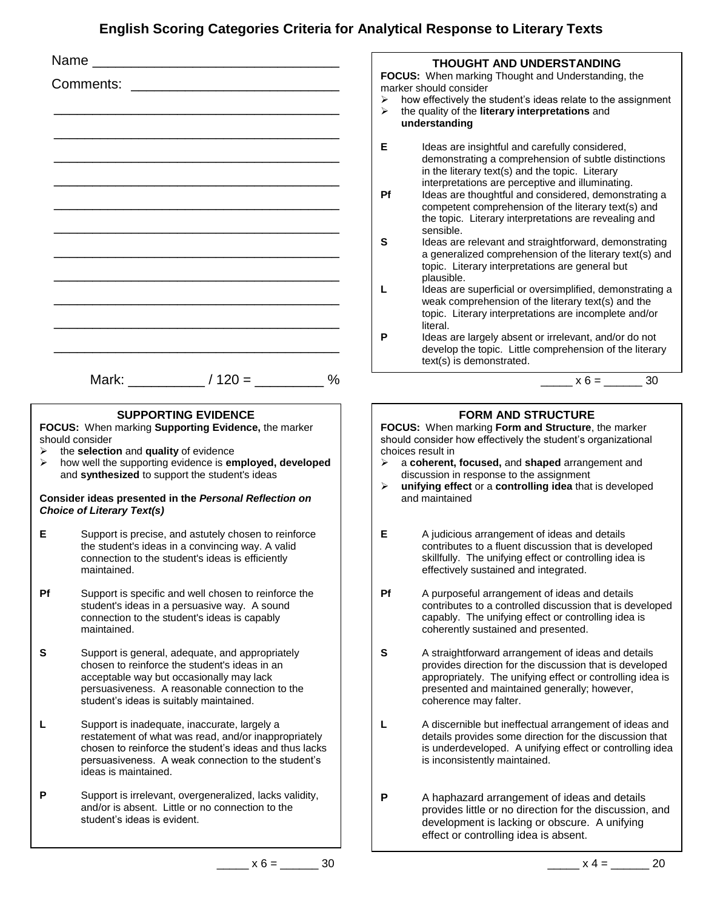## **English Scoring Categories Criteria for Analytical Response to Literary Texts**

|                                                                                                                                                                                                                                                                                                                                                                     |                                                                                                                                                                                                                                              | <b>THOUGHT AND UNDERSTANDING</b>                                                                                                                                                                                                                                                                                                                                                                                                                                                                                                                                                                                                                                                                                                                                                                                                                                                                                                                         |  |  |
|---------------------------------------------------------------------------------------------------------------------------------------------------------------------------------------------------------------------------------------------------------------------------------------------------------------------------------------------------------------------|----------------------------------------------------------------------------------------------------------------------------------------------------------------------------------------------------------------------------------------------|----------------------------------------------------------------------------------------------------------------------------------------------------------------------------------------------------------------------------------------------------------------------------------------------------------------------------------------------------------------------------------------------------------------------------------------------------------------------------------------------------------------------------------------------------------------------------------------------------------------------------------------------------------------------------------------------------------------------------------------------------------------------------------------------------------------------------------------------------------------------------------------------------------------------------------------------------------|--|--|
|                                                                                                                                                                                                                                                                                                                                                                     |                                                                                                                                                                                                                                              | FOCUS: When marking Thought and Understanding, the<br>marker should consider<br>how effectively the student's ideas relate to the assignment<br>➤<br>the quality of the literary interpretations and<br>➤<br>understanding                                                                                                                                                                                                                                                                                                                                                                                                                                                                                                                                                                                                                                                                                                                               |  |  |
|                                                                                                                                                                                                                                                                                                                                                                     |                                                                                                                                                                                                                                              | Е<br>Ideas are insightful and carefully considered,<br>demonstrating a comprehension of subtle distinctions<br>in the literary text(s) and the topic. Literary<br>interpretations are perceptive and illuminating.<br>Pf<br>Ideas are thoughtful and considered, demonstrating a<br>competent comprehension of the literary text(s) and<br>the topic. Literary interpretations are revealing and<br>sensible.<br>S<br>Ideas are relevant and straightforward, demonstrating<br>a generalized comprehension of the literary text(s) and<br>topic. Literary interpretations are general but<br>plausible.<br>L<br>Ideas are superficial or oversimplified, demonstrating a<br>weak comprehension of the literary text(s) and the<br>topic. Literary interpretations are incomplete and/or<br>literal.<br>P<br>Ideas are largely absent or irrelevant, and/or do not<br>develop the topic. Little comprehension of the literary<br>text(s) is demonstrated. |  |  |
|                                                                                                                                                                                                                                                                                                                                                                     | Mark: $/120 = %$                                                                                                                                                                                                                             | $x 6 =$ 30                                                                                                                                                                                                                                                                                                                                                                                                                                                                                                                                                                                                                                                                                                                                                                                                                                                                                                                                               |  |  |
| <b>SUPPORTING EVIDENCE</b><br>FOCUS: When marking Supporting Evidence, the marker<br>should consider<br>the selection and quality of evidence<br>➤<br>how well the supporting evidence is employed, developed<br>➤<br>and synthesized to support the student's ideas<br>Consider ideas presented in the Personal Reflection on<br><b>Choice of Literary Text(s)</b> |                                                                                                                                                                                                                                              | <b>FORM AND STRUCTURE</b><br>FOCUS: When marking Form and Structure, the marker<br>should consider how effectively the student's organizational<br>choices result in<br>a coherent, focused, and shaped arrangement and<br>➤<br>discussion in response to the assignment<br>unifying effect or a controlling idea that is developed<br>➤<br>and maintained                                                                                                                                                                                                                                                                                                                                                                                                                                                                                                                                                                                               |  |  |
| Е                                                                                                                                                                                                                                                                                                                                                                   | Support is precise, and astutely chosen to reinforce<br>the student's ideas in a convincing way. A valid<br>connection to the student's ideas is efficiently<br>maintained.                                                                  | Е<br>A judicious arrangement of ideas and details<br>contributes to a fluent discussion that is developed<br>skillfully. The unifying effect or controlling idea is<br>effectively sustained and integrated.                                                                                                                                                                                                                                                                                                                                                                                                                                                                                                                                                                                                                                                                                                                                             |  |  |
| <b>Pf</b>                                                                                                                                                                                                                                                                                                                                                           | Support is specific and well chosen to reinforce the<br>student's ideas in a persuasive way. A sound<br>connection to the student's ideas is capably<br>maintained.                                                                          | Pf<br>A purposeful arrangement of ideas and details<br>contributes to a controlled discussion that is developed<br>capably. The unifying effect or controlling idea is<br>coherently sustained and presented.                                                                                                                                                                                                                                                                                                                                                                                                                                                                                                                                                                                                                                                                                                                                            |  |  |
| S                                                                                                                                                                                                                                                                                                                                                                   | Support is general, adequate, and appropriately<br>chosen to reinforce the student's ideas in an<br>acceptable way but occasionally may lack<br>persuasiveness. A reasonable connection to the<br>student's ideas is suitably maintained.    | S<br>A straightforward arrangement of ideas and details<br>provides direction for the discussion that is developed<br>appropriately. The unifying effect or controlling idea is<br>presented and maintained generally; however,<br>coherence may falter.                                                                                                                                                                                                                                                                                                                                                                                                                                                                                                                                                                                                                                                                                                 |  |  |
| L                                                                                                                                                                                                                                                                                                                                                                   | Support is inadequate, inaccurate, largely a<br>restatement of what was read, and/or inappropriately<br>chosen to reinforce the student's ideas and thus lacks<br>persuasiveness. A weak connection to the student's<br>ideas is maintained. | A discernible but ineffectual arrangement of ideas and<br>L<br>details provides some direction for the discussion that<br>is underdeveloped. A unifying effect or controlling idea<br>is inconsistently maintained.                                                                                                                                                                                                                                                                                                                                                                                                                                                                                                                                                                                                                                                                                                                                      |  |  |
| P                                                                                                                                                                                                                                                                                                                                                                   | Support is irrelevant, overgeneralized, lacks validity,<br>and/or is absent. Little or no connection to the<br>student's ideas is evident.                                                                                                   | P<br>A haphazard arrangement of ideas and details<br>provides little or no direction for the discussion, and<br>development is lacking or obscure. A unifying<br>effect or controlling idea is absent.                                                                                                                                                                                                                                                                                                                                                                                                                                                                                                                                                                                                                                                                                                                                                   |  |  |